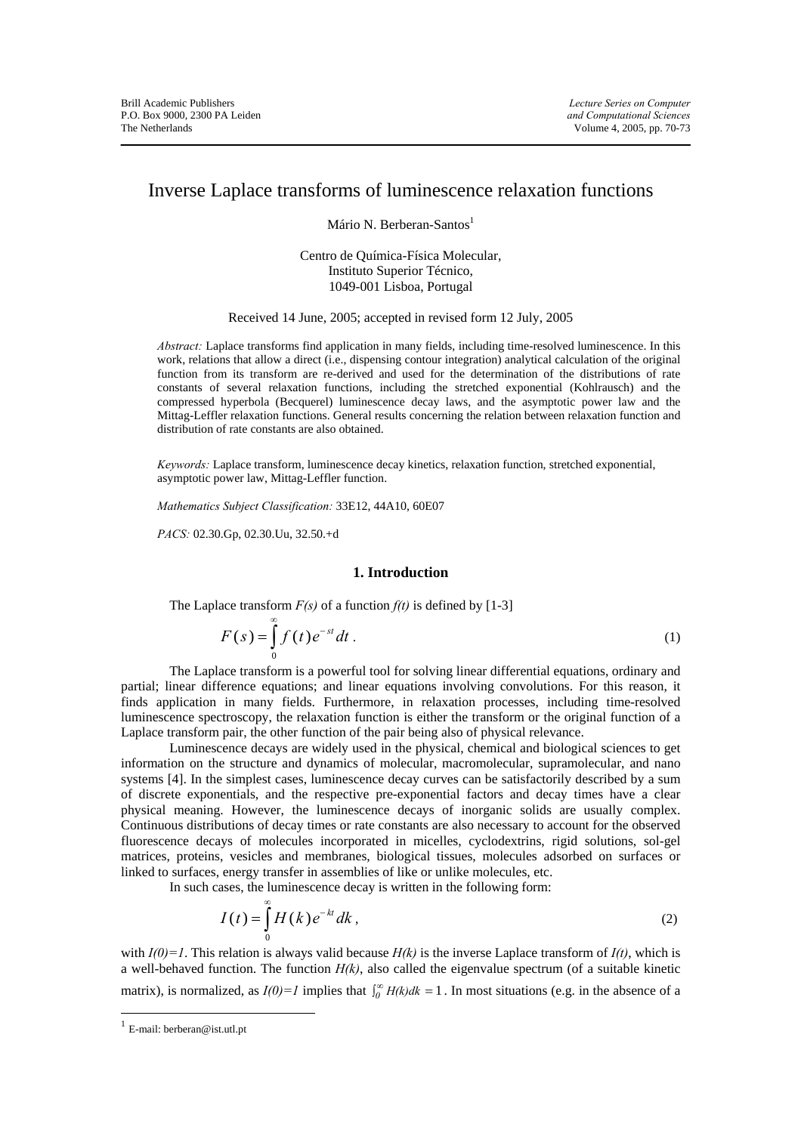# Inverse Laplace transforms of luminescence relaxation functions

Mário N. Berberan-Santos<sup>1</sup>

Centro de Química-Física Molecular, Instituto Superior Técnico, 1049-001 Lisboa, Portugal

Received 14 June, 2005; accepted in revised form 12 July, 2005

*Abstract:* Laplace transforms find application in many fields, including time-resolved luminescence. In this work, relations that allow a direct (i.e., dispensing contour integration) analytical calculation of the original function from its transform are re-derived and used for the determination of the distributions of rate constants of several relaxation functions, including the stretched exponential (Kohlrausch) and the compressed hyperbola (Becquerel) luminescence decay laws, and the asymptotic power law and the Mittag-Leffler relaxation functions. General results concerning the relation between relaxation function and distribution of rate constants are also obtained.

 *Keywords:* Laplace transform, luminescence decay kinetics, relaxation function, stretched exponential, asymptotic power law, Mittag-Leffler function.

*Mathematics Subject Classification:* 33E12, 44A10, 60E07

*PACS:* 02.30.Gp, 02.30.Uu, 32.50.+d

### **1. Introduction**

The Laplace transform  $F(s)$  of a function  $f(t)$  is defined by [1-3]

$$
F(s) = \int_{0}^{\infty} f(t) e^{-st} dt
$$
 (1)

The Laplace transform is a powerful tool for solving linear differential equations, ordinary and partial; linear difference equations; and linear equations involving convolutions. For this reason, it finds application in many fields. Furthermore, in relaxation processes, including time-resolved luminescence spectroscopy, the relaxation function is either the transform or the original function of a Laplace transform pair, the other function of the pair being also of physical relevance.

Luminescence decays are widely used in the physical, chemical and biological sciences to get information on the structure and dynamics of molecular, macromolecular, supramolecular, and nano systems [4]. In the simplest cases, luminescence decay curves can be satisfactorily described by a sum of discrete exponentials, and the respective pre-exponential factors and decay times have a clear physical meaning. However, the luminescence decays of inorganic solids are usually complex. Continuous distributions of decay times or rate constants are also necessary to account for the observed fluorescence decays of molecules incorporated in micelles, cyclodextrins, rigid solutions, sol-gel matrices, proteins, vesicles and membranes, biological tissues, molecules adsorbed on surfaces or linked to surfaces, energy transfer in assemblies of like or unlike molecules, etc.

In such cases, the luminescence decay is written in the following form:

$$
I(t) = \int_{0}^{\infty} H(k) e^{-kt} dk,
$$
\n(2)

with *I(0)=1*. This relation is always valid because *H(k)* is the inverse Laplace transform of *I(t)*, which is a well-behaved function. The function  $H(k)$ , also called the eigenvalue spectrum (of a suitable kinetic matrix), is normalized, as  $I(0)=I$  implies that  $\int_0^\infty H(k)dk = 1$ . In most situations (e.g. in the absence of a

 $\overline{a}$ 

<span id="page-0-0"></span><sup>1</sup> E-mail: berberan@ist.utl.pt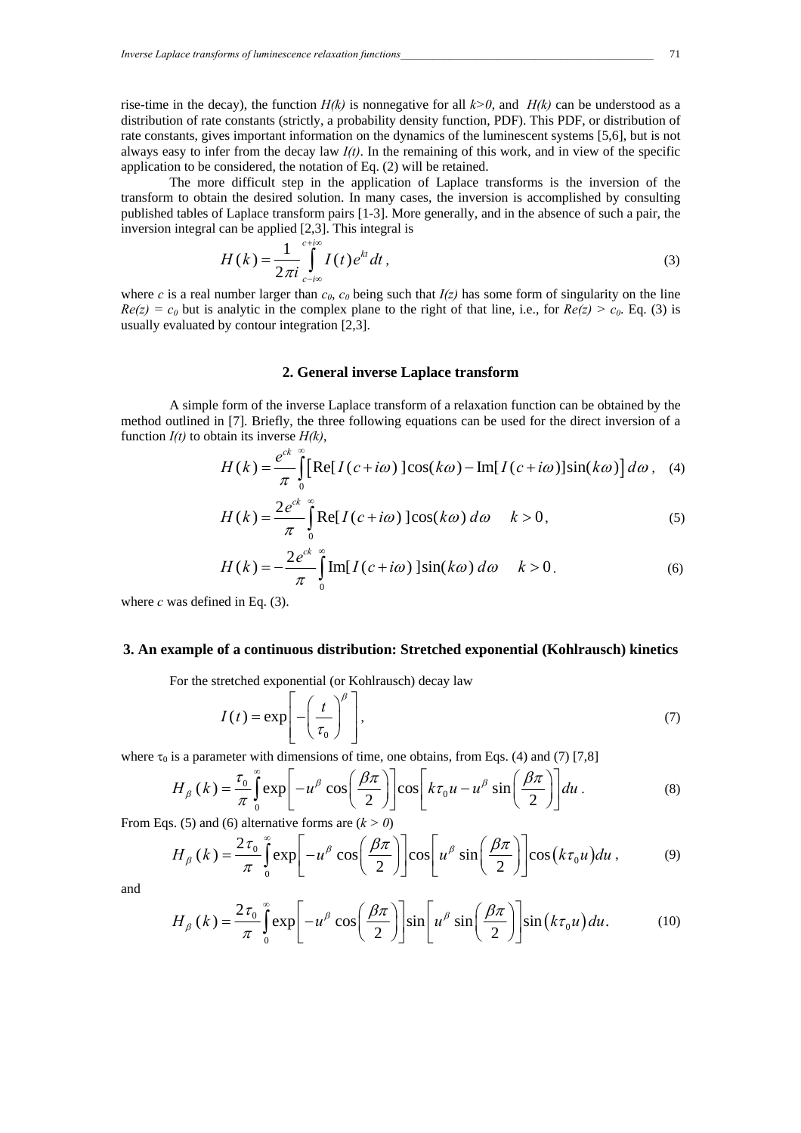rise-time in the decay), the function  $H(k)$  is nonnegative for all  $k>0$ , and  $H(k)$  can be understood as a distribution of rate constants (strictly, a probability density function, PDF). This PDF, or distribution of rate constants, gives important information on the dynamics of the luminescent systems [5,6], but is not always easy to infer from the decay law  $I(t)$ . In the remaining of this work, and in view of the specific application to be considered, the notation of Eq. (2) will be retained.

The more difficult step in the application of Laplace transforms is the inversion of the transform to obtain the desired solution. In many cases, the inversion is accomplished by consulting published tables of Laplace transform pairs [1-3]. More generally, and in the absence of such a pair, the inversion integral can be applied [2,3]. This integral is

$$
H(k) = \frac{1}{2\pi i} \int_{c-i\infty}^{c+i\infty} I(t) e^{kt} dt,
$$
\n(3)

where *c* is a real number larger than  $c_0$ ,  $c_0$  being such that  $I(z)$  has some form of singularity on the line  $Re(z) = c_0$  but is analytic in the complex plane to the right of that line, i.e., for  $Re(z) > c_0$ . Eq. (3) is usually evaluated by contour integration [2,3].

## **2. General inverse Laplace transform**

A simple form of the inverse Laplace transform of a relaxation function can be obtained by the method outlined in [7]. Briefly, the three following equations can be used for the direct inversion of a function *I(t)* to obtain its inverse *H(k)*,

$$
H(k) = \frac{e^{ck}}{\pi} \int_{0}^{\infty} \left[ \text{Re}[I(c+i\omega)]\cos(k\omega) - \text{Im}[I(c+i\omega)]\sin(k\omega) \right] d\omega, \quad (4)
$$

$$
H(k) = \frac{2e^{ck}}{\pi} \int_{0}^{\infty} \text{Re}[I(c+i\omega)]\cos(k\omega) d\omega \quad k > 0,
$$
 (5)

$$
H(k) = -\frac{2e^{ck}}{\pi} \int_{0}^{\infty} \text{Im}[I(c+i\omega)]\sin(k\omega) d\omega \quad k > 0.
$$
 (6)

where *c* was defined in Eq. (3).

## **3. An example of a continuous distribution: Stretched exponential (Kohlrausch) kinetics**

For the stretched exponential (or Kohlrausch) decay law

$$
I(t) = \exp\left[-\left(\frac{t}{\tau_0}\right)^{\beta}\right],
$$
\n(7)

where  $\tau_0$  is a parameter with dimensions of time, one obtains, from Eqs. (4) and (7) [7,8]

$$
H_{\beta}(k) = \frac{\tau_0}{\pi} \int_{0}^{\infty} \exp\left[-u^{\beta} \cos\left(\frac{\beta \pi}{2}\right)\right] \cos\left[k\tau_0 u - u^{\beta} \sin\left(\frac{\beta \pi}{2}\right)\right] du.
$$
 (8)

From Eqs. (5) and (6) alternative forms are  $(k > 0)$ 

$$
H_{\beta}(k) = \frac{2\tau_0}{\pi} \int_0^{\infty} \exp\left[-u^{\beta}\cos\left(\frac{\beta\pi}{2}\right)\right] \cos\left[u^{\beta}\sin\left(\frac{\beta\pi}{2}\right)\right] \cos\left(k\tau_0 u\right) du\,,\tag{9}
$$

and

$$
H_{\beta}(k) = \frac{2\tau_0}{\pi} \int_0^{\infty} \exp\left[-u^{\beta}\cos\left(\frac{\beta\pi}{2}\right)\right] \sin\left[u^{\beta}\sin\left(\frac{\beta\pi}{2}\right)\right] \sin\left(k\tau_0 u\right) du. \tag{10}
$$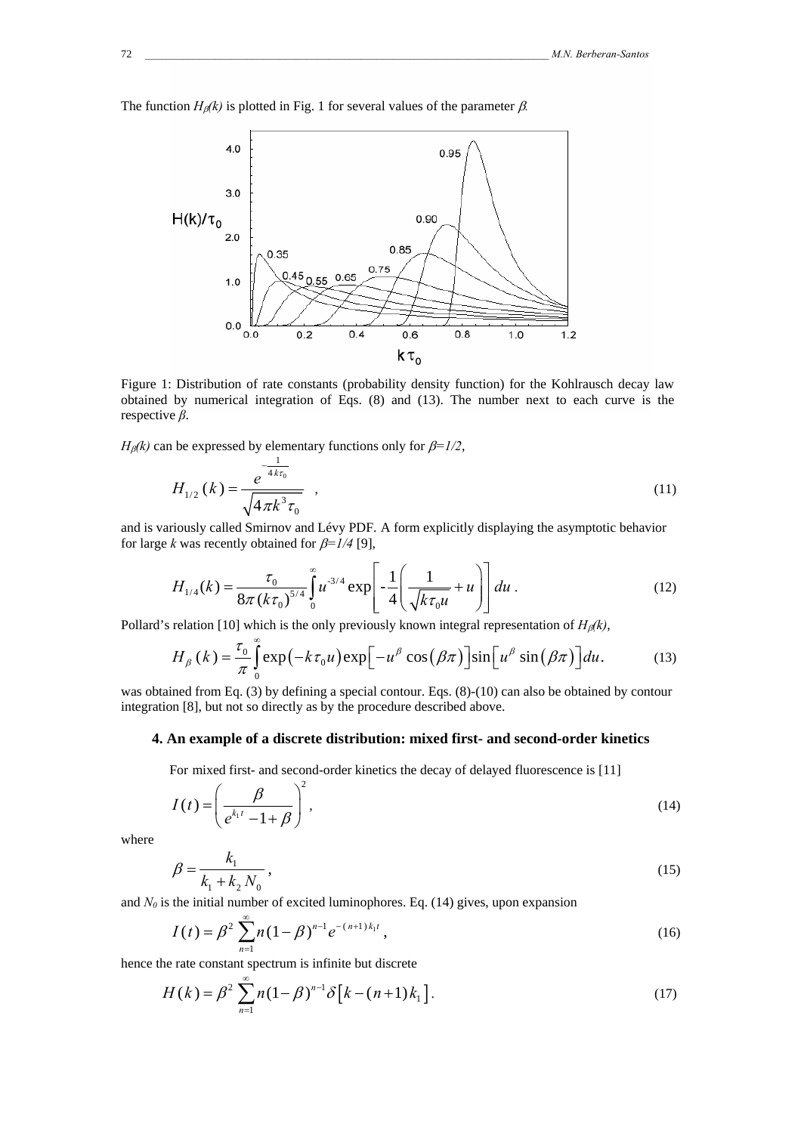The function  $H_\beta(k)$  is plotted in Fig. 1 for several values of the parameter  $\beta$ .



Figure 1: Distribution of rate constants (probability density function) for the Kohlrausch decay law obtained by numerical integration of Eqs. (8) and (13). The number next to each curve is the respective *β*.

 $H$ <sup>β</sup>(k) can be expressed by elementary functions only for  $\beta = 1/2$ ,

$$
H_{1/2} (k) = \frac{e^{-\frac{1}{4k\tau_0}}}{\sqrt{4\pi k^3 \tau_0}} \quad , \tag{11}
$$

and is variously called Smirnov and Lévy PDF. A form explicitly displaying the asymptotic behavior for large *k* was recently obtained for  $\beta = 1/4$  [9],

$$
H_{1/4}(k) = \frac{\tau_0}{8\pi (k\tau_0)^{5/4}} \int_0^\infty u^{-3/4} \exp\left[-\frac{1}{4}\left(\frac{1}{\sqrt{k\tau_0 u}} + u\right)\right] du.
$$
 (12)

Pollard's relation [10] which is the only previously known integral representation of  $H_\beta(k)$ ,

$$
H_{\beta}(k) = \frac{\tau_0}{\pi} \int_{0}^{\infty} \exp\left(-k\tau_0 u\right) \exp\left[-u^{\beta}\cos\left(\beta\pi\right)\right] \sin\left[u^{\beta}\sin\left(\beta\pi\right)\right] du. \tag{13}
$$

was obtained from Eq. (3) by defining a special contour. Eqs. (8)-(10) can also be obtained by contour integration [8], but not so directly as by the procedure described above.

### **4. An example of a discrete distribution: mixed first- and second-order kinetics**

For mixed first- and second-order kinetics the decay of delayed fluorescence is [11]

$$
I(t) = \left(\frac{\beta}{e^{k_1 t} - 1 + \beta}\right)^2,\tag{14}
$$

where

$$
\beta = \frac{k_1}{k_1 + k_2 N_0},\tag{15}
$$

and  $N_0$  is the initial number of excited luminophores. Eq. (14) gives, upon expansion

$$
I(t) = \beta^2 \sum_{n=1}^{\infty} n (1 - \beta)^{n-1} e^{-(n+1)k_1 t},
$$
\n(16)

hence the rate constant spectrum is infinite but discrete

$$
H(k) = \beta^2 \sum_{n=1}^{\infty} n(1-\beta)^{n-1} \delta \left[ k - (n+1)k_1 \right].
$$
 (17)